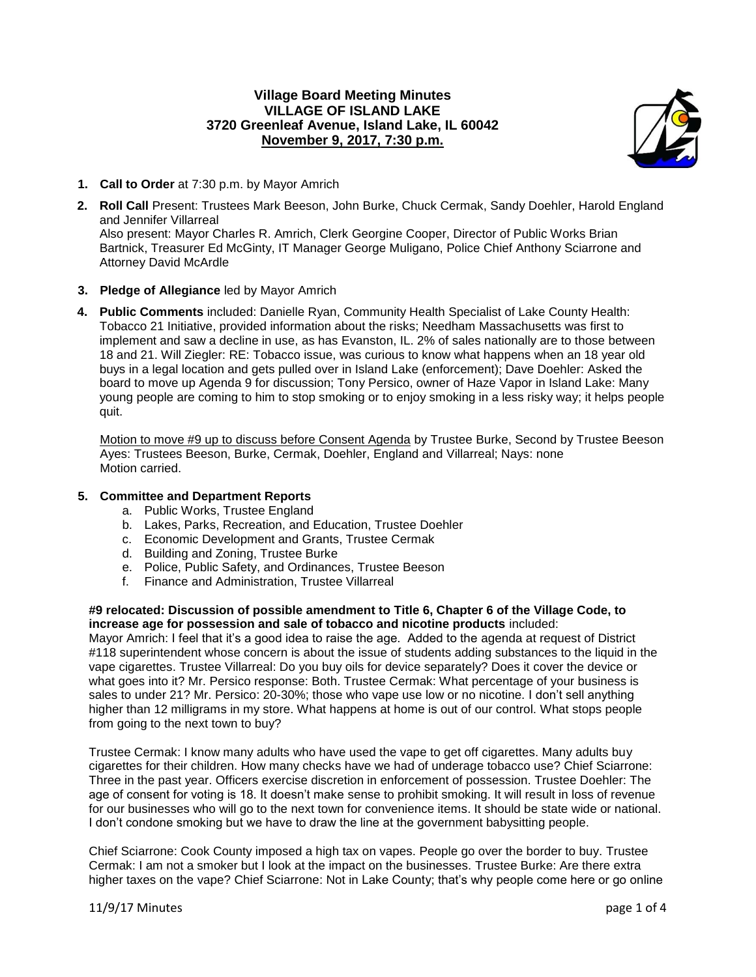## **Village Board Meeting Minutes VILLAGE OF ISLAND LAKE 3720 Greenleaf Avenue, Island Lake, IL 60042 November 9, 2017, 7:30 p.m.**



- **1. Call to Order** at 7:30 p.m. by Mayor Amrich
- **2. Roll Call** Present: Trustees Mark Beeson, John Burke, Chuck Cermak, Sandy Doehler, Harold England and Jennifer Villarreal Also present: Mayor Charles R. Amrich, Clerk Georgine Cooper, Director of Public Works Brian Bartnick, Treasurer Ed McGinty, IT Manager George Muligano, Police Chief Anthony Sciarrone and Attorney David McArdle

## **3. Pledge of Allegiance** led by Mayor Amrich

**4. Public Comments** included: Danielle Ryan, Community Health Specialist of Lake County Health: Tobacco 21 Initiative, provided information about the risks; Needham Massachusetts was first to implement and saw a decline in use, as has Evanston, IL. 2% of sales nationally are to those between 18 and 21. Will Ziegler: RE: Tobacco issue, was curious to know what happens when an 18 year old buys in a legal location and gets pulled over in Island Lake (enforcement); Dave Doehler: Asked the board to move up Agenda 9 for discussion; Tony Persico, owner of Haze Vapor in Island Lake: Many young people are coming to him to stop smoking or to enjoy smoking in a less risky way; it helps people quit.

Motion to move #9 up to discuss before Consent Agenda by Trustee Burke, Second by Trustee Beeson Ayes: Trustees Beeson, Burke, Cermak, Doehler, England and Villarreal; Nays: none Motion carried.

#### **5. Committee and Department Reports**

- a. Public Works, Trustee England
- b. Lakes, Parks, Recreation, and Education, Trustee Doehler
- c. Economic Development and Grants, Trustee Cermak
- d. Building and Zoning, Trustee Burke
- e. Police, Public Safety, and Ordinances, Trustee Beeson
- f. Finance and Administration, Trustee Villarreal

#### **#9 relocated: Discussion of possible amendment to Title 6, Chapter 6 of the Village Code, to increase age for possession and sale of tobacco and nicotine products** included:

Mayor Amrich: I feel that it's a good idea to raise the age. Added to the agenda at request of District #118 superintendent whose concern is about the issue of students adding substances to the liquid in the vape cigarettes. Trustee Villarreal: Do you buy oils for device separately? Does it cover the device or what goes into it? Mr. Persico response: Both. Trustee Cermak: What percentage of your business is sales to under 21? Mr. Persico: 20-30%; those who vape use low or no nicotine. I don't sell anything higher than 12 milligrams in my store. What happens at home is out of our control. What stops people from going to the next town to buy?

Trustee Cermak: I know many adults who have used the vape to get off cigarettes. Many adults buy cigarettes for their children. How many checks have we had of underage tobacco use? Chief Sciarrone: Three in the past year. Officers exercise discretion in enforcement of possession. Trustee Doehler: The age of consent for voting is 18. It doesn't make sense to prohibit smoking. It will result in loss of revenue for our businesses who will go to the next town for convenience items. It should be state wide or national. I don't condone smoking but we have to draw the line at the government babysitting people.

Chief Sciarrone: Cook County imposed a high tax on vapes. People go over the border to buy. Trustee Cermak: I am not a smoker but I look at the impact on the businesses. Trustee Burke: Are there extra higher taxes on the vape? Chief Sciarrone: Not in Lake County; that's why people come here or go online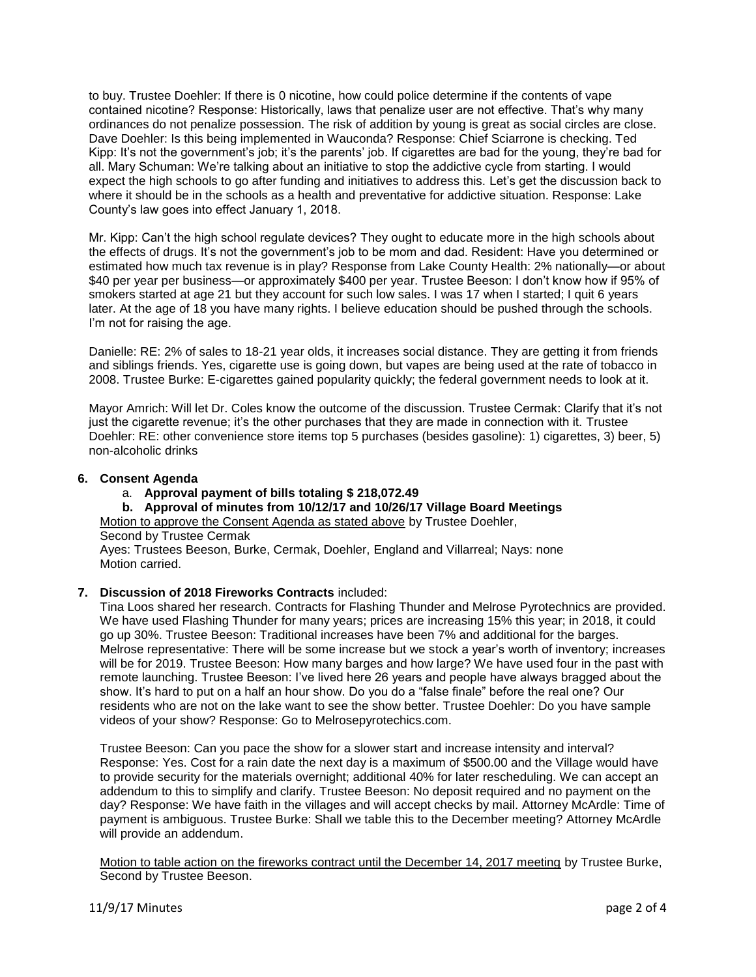to buy. Trustee Doehler: If there is 0 nicotine, how could police determine if the contents of vape contained nicotine? Response: Historically, laws that penalize user are not effective. That's why many ordinances do not penalize possession. The risk of addition by young is great as social circles are close. Dave Doehler: Is this being implemented in Wauconda? Response: Chief Sciarrone is checking. Ted Kipp: It's not the government's job; it's the parents' job. If cigarettes are bad for the young, they're bad for all. Mary Schuman: We're talking about an initiative to stop the addictive cycle from starting. I would expect the high schools to go after funding and initiatives to address this. Let's get the discussion back to where it should be in the schools as a health and preventative for addictive situation. Response: Lake County's law goes into effect January 1, 2018.

Mr. Kipp: Can't the high school regulate devices? They ought to educate more in the high schools about the effects of drugs. It's not the government's job to be mom and dad. Resident: Have you determined or estimated how much tax revenue is in play? Response from Lake County Health: 2% nationally—or about \$40 per year per business—or approximately \$400 per year. Trustee Beeson: I don't know how if 95% of smokers started at age 21 but they account for such low sales. I was 17 when I started; I quit 6 years later. At the age of 18 you have many rights. I believe education should be pushed through the schools. I'm not for raising the age.

Danielle: RE: 2% of sales to 18-21 year olds, it increases social distance. They are getting it from friends and siblings friends. Yes, cigarette use is going down, but vapes are being used at the rate of tobacco in 2008. Trustee Burke: E-cigarettes gained popularity quickly; the federal government needs to look at it.

Mayor Amrich: Will let Dr. Coles know the outcome of the discussion. Trustee Cermak: Clarify that it's not just the cigarette revenue; it's the other purchases that they are made in connection with it. Trustee Doehler: RE: other convenience store items top 5 purchases (besides gasoline): 1) cigarettes, 3) beer, 5) non-alcoholic drinks

## **6. Consent Agenda**

- a. **Approval payment of bills totaling \$ 218,072.49**
- **b. Approval of minutes from 10/12/17 and 10/26/17 Village Board Meetings**

Motion to approve the Consent Agenda as stated above by Trustee Doehler,

Second by Trustee Cermak

Ayes: Trustees Beeson, Burke, Cermak, Doehler, England and Villarreal; Nays: none Motion carried.

# **7. Discussion of 2018 Fireworks Contracts** included:

Tina Loos shared her research. Contracts for Flashing Thunder and Melrose Pyrotechnics are provided. We have used Flashing Thunder for many years; prices are increasing 15% this year; in 2018, it could go up 30%. Trustee Beeson: Traditional increases have been 7% and additional for the barges. Melrose representative: There will be some increase but we stock a year's worth of inventory; increases will be for 2019. Trustee Beeson: How many barges and how large? We have used four in the past with remote launching. Trustee Beeson: I've lived here 26 years and people have always bragged about the show. It's hard to put on a half an hour show. Do you do a "false finale" before the real one? Our residents who are not on the lake want to see the show better. Trustee Doehler: Do you have sample videos of your show? Response: Go to Melrosepyrotechics.com.

Trustee Beeson: Can you pace the show for a slower start and increase intensity and interval? Response: Yes. Cost for a rain date the next day is a maximum of \$500.00 and the Village would have to provide security for the materials overnight; additional 40% for later rescheduling. We can accept an addendum to this to simplify and clarify. Trustee Beeson: No deposit required and no payment on the day? Response: We have faith in the villages and will accept checks by mail. Attorney McArdle: Time of payment is ambiguous. Trustee Burke: Shall we table this to the December meeting? Attorney McArdle will provide an addendum.

Motion to table action on the fireworks contract until the December 14, 2017 meeting by Trustee Burke, Second by Trustee Beeson.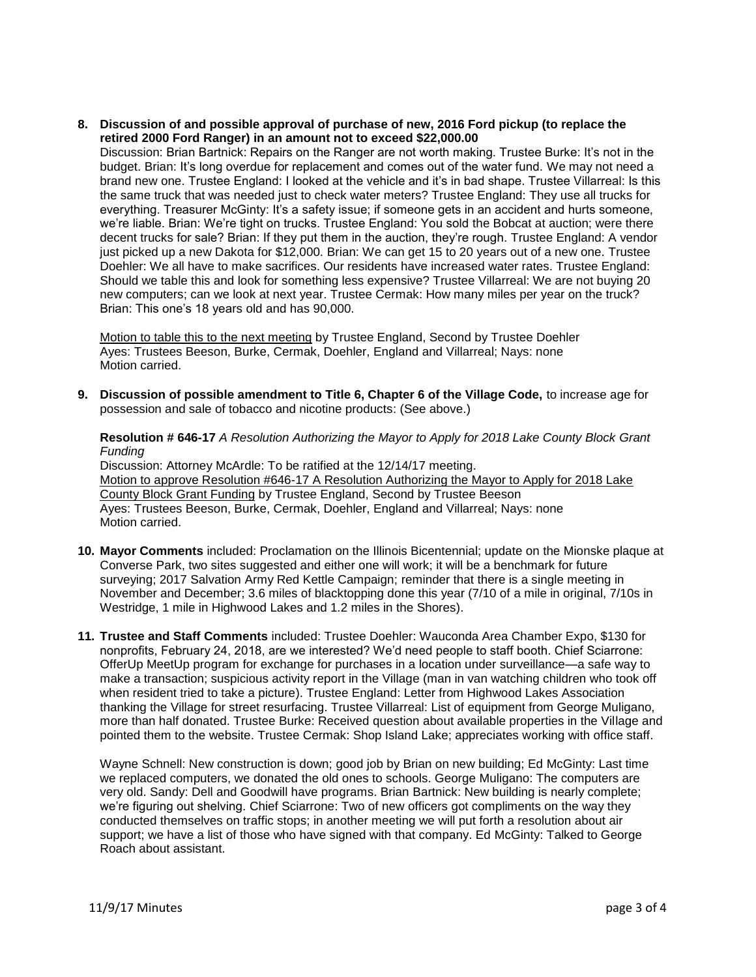**8. Discussion of and possible approval of purchase of new, 2016 Ford pickup (to replace the retired 2000 Ford Ranger) in an amount not to exceed \$22,000.00**

Discussion: Brian Bartnick: Repairs on the Ranger are not worth making. Trustee Burke: It's not in the budget. Brian: It's long overdue for replacement and comes out of the water fund. We may not need a brand new one. Trustee England: I looked at the vehicle and it's in bad shape. Trustee Villarreal: Is this the same truck that was needed just to check water meters? Trustee England: They use all trucks for everything. Treasurer McGinty: It's a safety issue; if someone gets in an accident and hurts someone, we're liable. Brian: We're tight on trucks. Trustee England: You sold the Bobcat at auction; were there decent trucks for sale? Brian: If they put them in the auction, they're rough. Trustee England: A vendor just picked up a new Dakota for \$12,000. Brian: We can get 15 to 20 years out of a new one. Trustee Doehler: We all have to make sacrifices. Our residents have increased water rates. Trustee England: Should we table this and look for something less expensive? Trustee Villarreal: We are not buying 20 new computers; can we look at next year. Trustee Cermak: How many miles per year on the truck? Brian: This one's 18 years old and has 90,000.

Motion to table this to the next meeting by Trustee England, Second by Trustee Doehler Ayes: Trustees Beeson, Burke, Cermak, Doehler, England and Villarreal; Nays: none Motion carried.

**9. Discussion of possible amendment to Title 6, Chapter 6 of the Village Code,** to increase age for possession and sale of tobacco and nicotine products: (See above.)

**Resolution # 646-17** *A Resolution Authorizing the Mayor to Apply for 2018 Lake County Block Grant Funding*

Discussion: Attorney McArdle: To be ratified at the 12/14/17 meeting. Motion to approve Resolution #646-17 A Resolution Authorizing the Mayor to Apply for 2018 Lake County Block Grant Funding by Trustee England, Second by Trustee Beeson Ayes: Trustees Beeson, Burke, Cermak, Doehler, England and Villarreal; Nays: none Motion carried.

- **10. Mayor Comments** included: Proclamation on the Illinois Bicentennial; update on the Mionske plaque at Converse Park, two sites suggested and either one will work; it will be a benchmark for future surveying; 2017 Salvation Army Red Kettle Campaign; reminder that there is a single meeting in November and December; 3.6 miles of blacktopping done this year (7/10 of a mile in original, 7/10s in Westridge, 1 mile in Highwood Lakes and 1.2 miles in the Shores).
- **11. Trustee and Staff Comments** included: Trustee Doehler: Wauconda Area Chamber Expo, \$130 for nonprofits, February 24, 2018, are we interested? We'd need people to staff booth. Chief Sciarrone: OfferUp MeetUp program for exchange for purchases in a location under surveillance—a safe way to make a transaction; suspicious activity report in the Village (man in van watching children who took off when resident tried to take a picture). Trustee England: Letter from Highwood Lakes Association thanking the Village for street resurfacing. Trustee Villarreal: List of equipment from George Muligano, more than half donated. Trustee Burke: Received question about available properties in the Village and pointed them to the website. Trustee Cermak: Shop Island Lake; appreciates working with office staff.

Wayne Schnell: New construction is down; good job by Brian on new building; Ed McGinty: Last time we replaced computers, we donated the old ones to schools. George Muligano: The computers are very old. Sandy: Dell and Goodwill have programs. Brian Bartnick: New building is nearly complete; we're figuring out shelving. Chief Sciarrone: Two of new officers got compliments on the way they conducted themselves on traffic stops; in another meeting we will put forth a resolution about air support; we have a list of those who have signed with that company. Ed McGinty: Talked to George Roach about assistant.